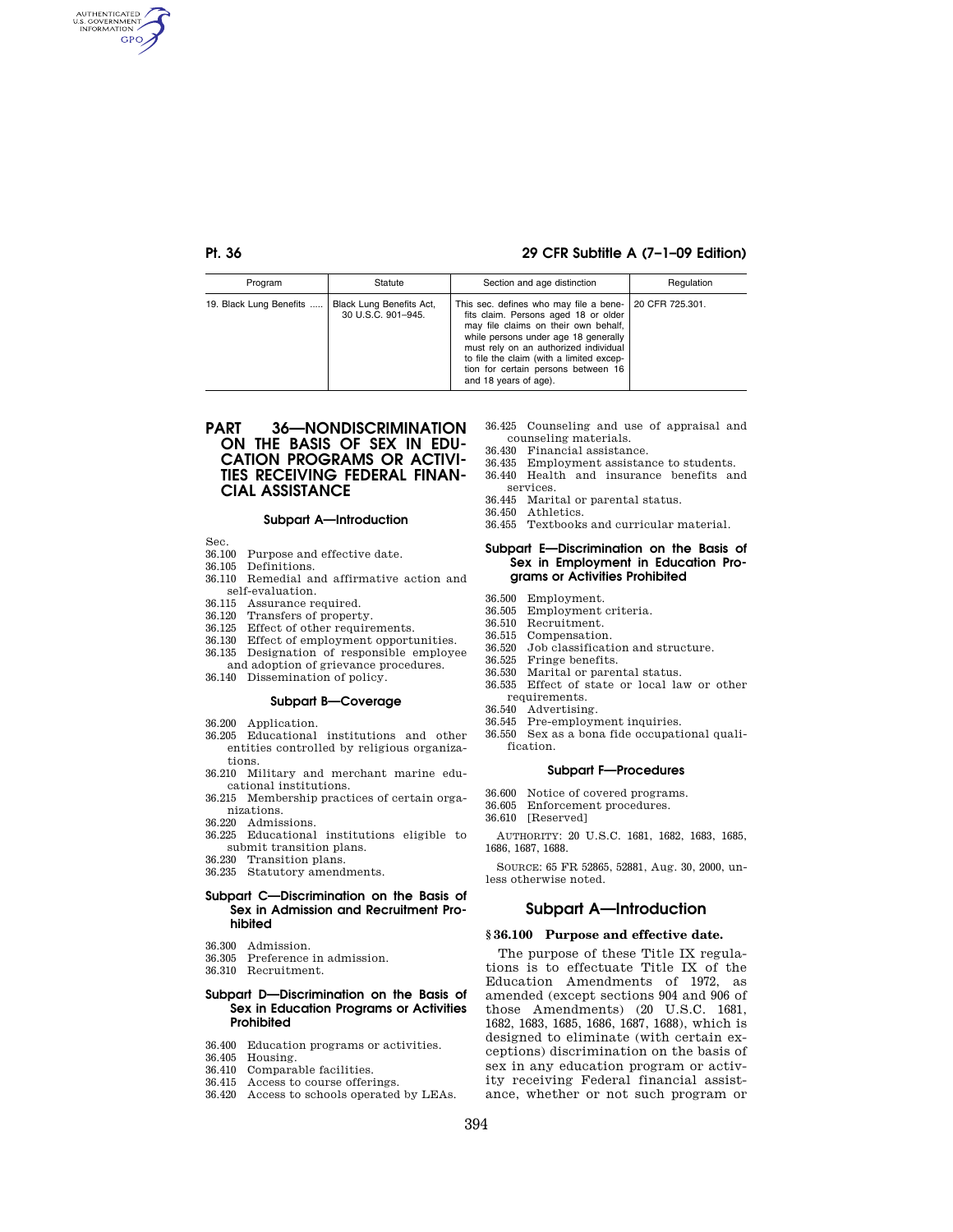AUTHENTICATED<br>U.S. GOVERNMENT<br>INFORMATION **GPO** 

# **Pt. 36 29 CFR Subtitle A (7–1–09 Edition)**

| Program                 | Statute                                        | Section and age distinction                                                                                                                                                                                                                                                                                                           | Regulation |
|-------------------------|------------------------------------------------|---------------------------------------------------------------------------------------------------------------------------------------------------------------------------------------------------------------------------------------------------------------------------------------------------------------------------------------|------------|
| 19. Black Lung Benefits | Black Lung Benefits Act,<br>30 U.S.C. 901-945. | This sec. defines who may file a bene-   20 CFR 725.301.<br>fits claim. Persons aged 18 or older<br>may file claims on their own behalf,<br>while persons under age 18 generally<br>must rely on an authorized individual<br>to file the claim (with a limited excep-<br>tion for certain persons between 16<br>and 18 years of age). |            |

# **PART 36—NONDISCRIMINATION ON THE BASIS OF SEX IN EDU-CATION PROGRAMS OR ACTIVI-TIES RECEIVING FEDERAL FINAN-CIAL ASSISTANCE**

### **Subpart A—Introduction**

Sec.

- 36.100 Purpose and effective date.
- 36.105 Definitions.
- 36.110 Remedial and affirmative action and self-evaluation.
- 
- 36.115 Assurance required. 36.120 Transfers of property.
- 36.125 Effect of other requirements.
- 36.130 Effect of employment opportunities.
- 36.135 Designation of responsible employee and adoption of grievance procedures.
- 36.140 Dissemination of policy.

#### **Subpart B—Coverage**

- 36.200 Application.
- 36.205 Educational institutions and other entities controlled by religious organizations.
- 36.210 Military and merchant marine educational institutions.
- 36.215 Membership practices of certain organizations.
- 36.220 Admissions.
- 36.225 Educational institutions eligible to submit transition plans.
- 36.230 Transition plans.
- 36.235 Statutory amendments.

## **Subpart C—Discrimination on the Basis of Sex in Admission and Recruitment Prohibited**

- 36.300 Admission.
- 36.305 Preference in admission.
- 36.310 Recruitment.

#### **Subpart D—Discrimination on the Basis of Sex in Education Programs or Activities Prohibited**

- 36.400 Education programs or activities.
- 36.405 Housing.
- 36.410 Comparable facilities.
- 36.415 Access to course offerings.
- 36.420 Access to schools operated by LEAs.
- 36.425 Counseling and use of appraisal and counseling materials.
- 36.430 Financial assistance.
- 36.435 Employment assistance to students. 36.440 Health and insurance benefits and
- services.
- 36.445 Marital or parental status.
- 36.450 Athletics.
- 36.455 Textbooks and curricular material.

#### **Subpart E—Discrimination on the Basis of Sex in Employment in Education Programs or Activities Prohibited**

- 36.500 Employment.
- 36.505 Employment criteria.
- 36.510 Recruitment.
- 36.515 Compensation.
- Job classification and structure. 36.525 Fringe benefits.
- 36.530 Marital or parental status.
- 36.535 Effect of state or local law or other requirements.
- 
- 36.540 Advertising. 36.545 Pre-employment inquiries.
- 36.550 Sex as a bona fide occupational qualification.

## **Subpart F—Procedures**

- 36.600 Notice of covered programs.
- 36.605 Enforcement procedures.
- 36.610 [Reserved]

AUTHORITY: 20 U.S.C. 1681, 1682, 1683, 1685, 1686, 1687, 1688.

SOURCE: 65 FR 52865, 52881, Aug. 30, 2000, unless otherwise noted.

## **Subpart A—Introduction**

#### **§ 36.100 Purpose and effective date.**

The purpose of these Title IX regulations is to effectuate Title IX of the Education Amendments of 1972, as amended (except sections 904 and 906 of those Amendments) (20 U.S.C. 1681, 1682, 1683, 1685, 1686, 1687, 1688), which is designed to eliminate (with certain exceptions) discrimination on the basis of sex in any education program or activity receiving Federal financial assistance, whether or not such program or